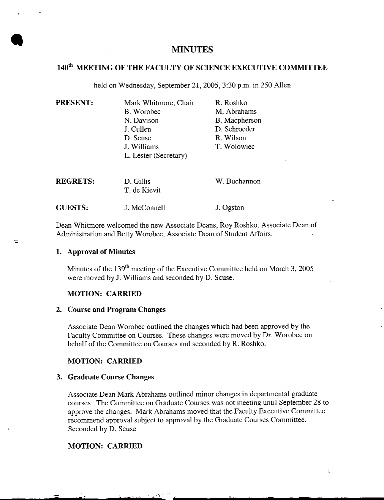# **MINUTES**

# **1401h MEETING OF THE FACULTY OF SCIENCE EXECUTIVE COMMITTEE**

held on Wednesday, September 21, 2005, 3:30 p.m. in *250* Allen

**PRESENT:** Mark Whitmore, Chair R. Roshko B. Worobec M. Abrahams N. Davison B. Macpherson J. Cullen D. Schroeder D. Scuse R. Wilson J. Williams T. Wolowiec L. Lester (Secretary) **REGRETS:** D. Gillis W. Buchannon

T. de Kievit GUESTS: **J. McConnell** J. Ogston

Dean Whitmore welcomed the new Associate Deans, Roy Roshko, Associate Dean of Administration and Betty Worobec, Associate Dean of Student Affairs.

### **Approval of Minutes**

**S** 

 $\equiv$ 

Minutes of the  $139<sup>th</sup>$  meeting of the Executive Committee held on March 3, 2005 were moved by J. Williams and seconded by D. Scuse.

#### **MOTION: CARRIED**

#### **Course and Program Changes**

Associate Dean Worobec outlined the changes which had been approved by the Faculty Committee on Courses. These changes were moved by Dr. Worobec on behalf of the Committee on Courses and seconded by R. Roshko.

# **MOTION: CARRIED**

#### **Graduate Course Changes**

Associate Dean Mark Abrahams outlined minor changes in departmental graduate courses. The Committee on Graduate Courses was not meeting until September 28 to approve the changes. Mark Abrahams moved that the Faculty Executive Committee recommend approval subject to approval by the Graduate Courses Committee. Seconded by D. Scuse

س مي

### **MOTION: CARRIED**

1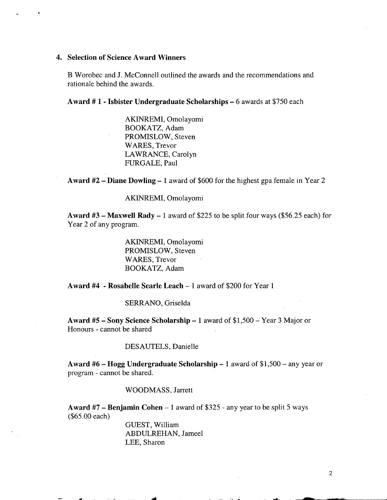#### **4. Selection of Science Award Winners**

B Worobec and J. McConnell outlined the awards and the recommendations and rationale behind the awards.

**Award # 1** - **Isbister Undergraduate Scholarships -** 6 awards at *\$750* each

AKINREMI, Omolayomi BOOKATZ, Adam PROMISLOW, Steven WARES, Trevor LAWRANCE, Carolyn FURGALE, Paul

**Award #2** - **Diane Dowling -** 1 award of \$600 for the highest gpa female in Year 2

AKINREMI, Omolayomi

**Award #3** - **Maxwell Rady -** 1 award of \$225 to be split four ways (\$56.25 each) for Year 2 of any program.

> AKINREMI, Omolayomi PROMISLOW, Steven WARES, Trevor BOOKATZ, Adam

**Award #4** - **Rosabelle Searle Leach -** 1 award of \$200 for Year 1

SERRANO, Griselda

**Award** *#5* - **Sony Science Scholarship -** 1 award of \$1,500 - Year 3 Major or Honours - cannot be shared

# DESAUTELS, Danielle

**Award #6— Hogg Undergraduate Scholarship -** 1 award of \$1,500 - any year or program - cannot be shared.

#### WOODMASS, Jarrett

**Award** *#7* - **Benjamin Cohen -** 1 award of \$325 - any year to be split 5 ways (\$65.00 each)

> GUEST, William ABDULREHAN, Jameel LEE, Sharon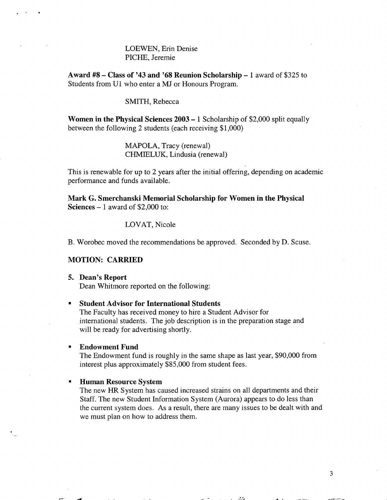# LOEWEN, Erin Denise PICHE, Jeremie

**Award #8— Class of '43 and '68 Reunion Scholarship -** 1 award of \$325 to Students from Ui who enter a MJ or Honours Program.

### SMITH, Rebecca

**Women in the Physical Sciences 2003 -** 1 Scholarship of \$2,000 split equally between the following 2 students (each receiving \$1,000)

> MAPOLA, Tracy (renewal) CHMIELUK, Lindusia (renewal)

This is renewable for up to 2 years after the initial offering, depending on academic performance and funds available.

**Mark G. Smerchanski Memorial Scholarship for Women in the Physical Sciences -** 1 award of \$2,000 to:

LOVAT, Nicole

B. Worobec moved the recommendations be approved. Seconded by D. Scuse.

#### **MOTION: CARRIED**

#### **5. Dean's Report**

Dean Whitmore reported on the following:

#### **Student Advisor for International Students**

The Faculty has received money to hire a Student Advisor for international students. The job description is in the preparation stage and will be ready for advertising shortly.

#### **Endowment Fund**   $\blacksquare$

The Endowment fund is roughly in the same shape as last year, \$90,000 from interest plus approximately \$85,000 from student fees.

#### $\blacksquare$ **Human Resource System**

The new HR System has caused increased strains on all departments and their Staff. The new Student Information System (Aurora) appears to do less than the current system does. As a result, there are many issues to be dealt with and we must plan on how to address them.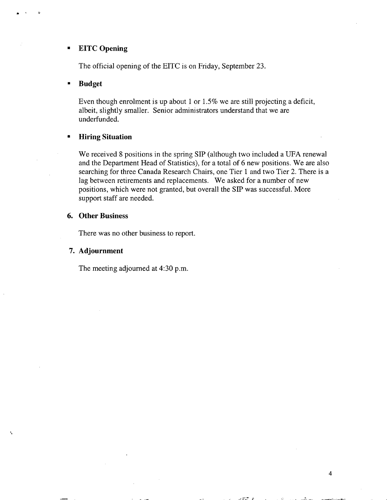#### **EITC Opening**   $\blacksquare$

The official opening of the EITC is on Friday, September 23.

### **Budget**

Even though enrolment is up about 1 or 1.5% we are still projecting a deficit, albeit, slightly smaller. Senior administrators understand that we are underfunded.

### **Hiring Situation**

We received 8 positions in the spring SIP (although two included a UFA renewal and the Department Head of Statistics), for a total of 6 new positions. We are also searching for three Canada Research Chairs, one Tier 1 and two Tier 2. There is a lag between retirements and replacements. We asked for a number of new positions, which were not granted, but overall the SIP was successful. More support staff are needed.

# **Other Business**

There was no other business to report.

### **Adjournment**

The meeting adjourned at 4:30 p.m.